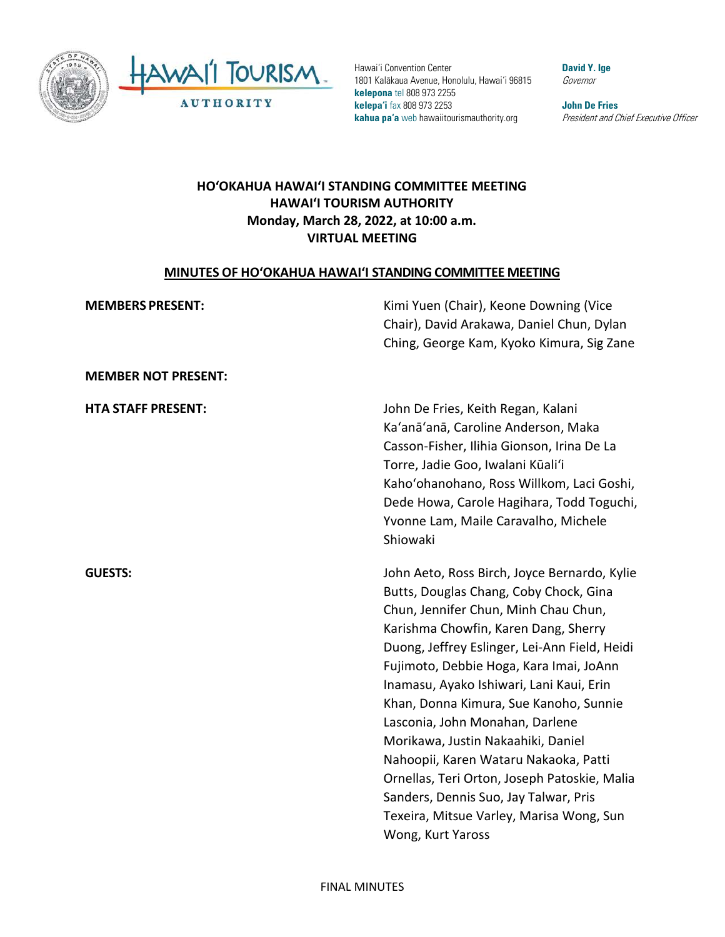



Hawai'i Convention Center 1801 Kalākaua Avenue, Honolulu, Hawai'i 96815 **kelepona** tel 808 973 2255 **kelepa'i** fax 808 973 2253 **kahua pa'a** web hawaiitourismauthority.org

**David Y. Ige** Governor

**John De Fries** President and Chief Executive Officer

## **HO'OKAHUA HAWAI'I STANDING COMMITTEE MEETING HAWAI'I TOURISM AUTHORITY Monday, March 28, 2022, at 10:00 a.m. VIRTUAL MEETING**

#### **MINUTES OF HO'OKAHUA HAWAI'I STANDING COMMITTEE MEETING**

| <b>MEMBERS PRESENT:</b>    | Kimi Yuen (Chair), Keone Downing (Vice<br>Chair), David Arakawa, Daniel Chun, Dylan<br>Ching, George Kam, Kyoko Kimura, Sig Zane                                                                                                                                                                                                                                                                                                                                                                                                                                                                                                     |
|----------------------------|--------------------------------------------------------------------------------------------------------------------------------------------------------------------------------------------------------------------------------------------------------------------------------------------------------------------------------------------------------------------------------------------------------------------------------------------------------------------------------------------------------------------------------------------------------------------------------------------------------------------------------------|
| <b>MEMBER NOT PRESENT:</b> |                                                                                                                                                                                                                                                                                                                                                                                                                                                                                                                                                                                                                                      |
| <b>HTA STAFF PRESENT:</b>  | John De Fries, Keith Regan, Kalani<br>Ka'anā'anā, Caroline Anderson, Maka<br>Casson-Fisher, Ilihia Gionson, Irina De La<br>Torre, Jadie Goo, Iwalani Kūali'i<br>Kaho'ohanohano, Ross Willkom, Laci Goshi,<br>Dede Howa, Carole Hagihara, Todd Toguchi,<br>Yvonne Lam, Maile Caravalho, Michele<br>Shiowaki                                                                                                                                                                                                                                                                                                                           |
| <b>GUESTS:</b>             | John Aeto, Ross Birch, Joyce Bernardo, Kylie<br>Butts, Douglas Chang, Coby Chock, Gina<br>Chun, Jennifer Chun, Minh Chau Chun,<br>Karishma Chowfin, Karen Dang, Sherry<br>Duong, Jeffrey Eslinger, Lei-Ann Field, Heidi<br>Fujimoto, Debbie Hoga, Kara Imai, JoAnn<br>Inamasu, Ayako Ishiwari, Lani Kaui, Erin<br>Khan, Donna Kimura, Sue Kanoho, Sunnie<br>Lasconia, John Monahan, Darlene<br>Morikawa, Justin Nakaahiki, Daniel<br>Nahoopii, Karen Wataru Nakaoka, Patti<br>Ornellas, Teri Orton, Joseph Patoskie, Malia<br>Sanders, Dennis Suo, Jay Talwar, Pris<br>Texeira, Mitsue Varley, Marisa Wong, Sun<br>Wong, Kurt Yaross |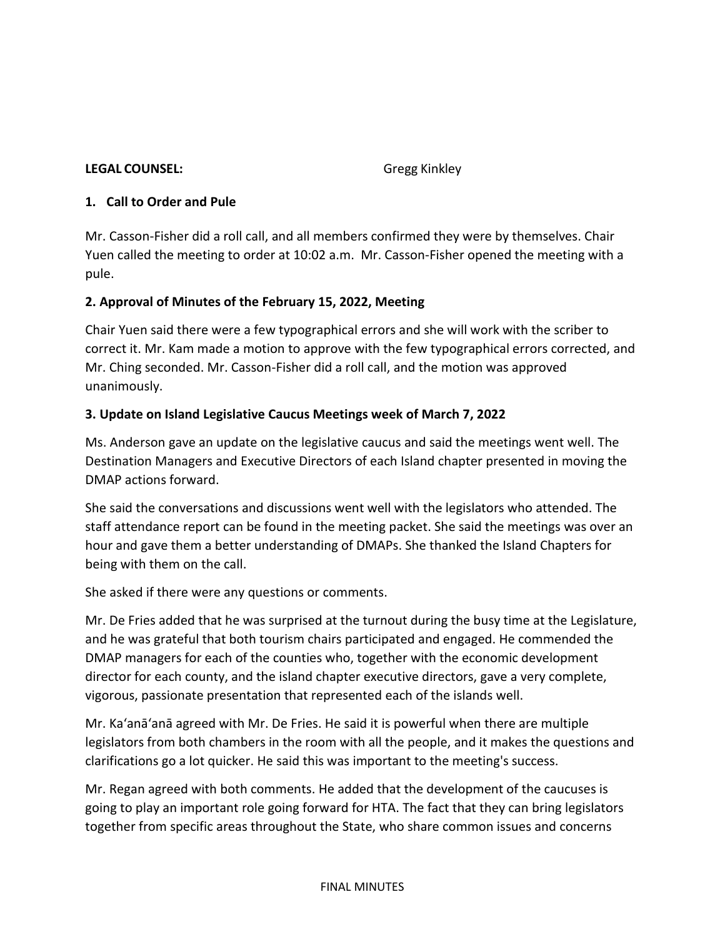#### **LEGAL COUNSEL:** Gregg Kinkley

#### **1. Call to Order and Pule**

Mr. Casson-Fisher did a roll call, and all members confirmed they were by themselves. Chair Yuen called the meeting to order at 10:02 a.m. Mr. Casson-Fisher opened the meeting with a pule.

### **2. Approval of Minutes of the February 15, 2022, Meeting**

Chair Yuen said there were a few typographical errors and she will work with the scriber to correct it. Mr. Kam made a motion to approve with the few typographical errors corrected, and Mr. Ching seconded. Mr. Casson-Fisher did a roll call, and the motion was approved unanimously.

## **3. Update on Island Legislative Caucus Meetings week of March 7, 2022**

Ms. Anderson gave an update on the legislative caucus and said the meetings went well. The Destination Managers and Executive Directors of each Island chapter presented in moving the DMAP actions forward.

She said the conversations and discussions went well with the legislators who attended. The staff attendance report can be found in the meeting packet. She said the meetings was over an hour and gave them a better understanding of DMAPs. She thanked the Island Chapters for being with them on the call.

She asked if there were any questions or comments.

Mr. De Fries added that he was surprised at the turnout during the busy time at the Legislature, and he was grateful that both tourism chairs participated and engaged. He commended the DMAP managers for each of the counties who, together with the economic development director for each county, and the island chapter executive directors, gave a very complete, vigorous, passionate presentation that represented each of the islands well.

Mr. Ka'anā'anā agreed with Mr. De Fries. He said it is powerful when there are multiple legislators from both chambers in the room with all the people, and it makes the questions and clarifications go a lot quicker. He said this was important to the meeting's success.

Mr. Regan agreed with both comments. He added that the development of the caucuses is going to play an important role going forward for HTA. The fact that they can bring legislators together from specific areas throughout the State, who share common issues and concerns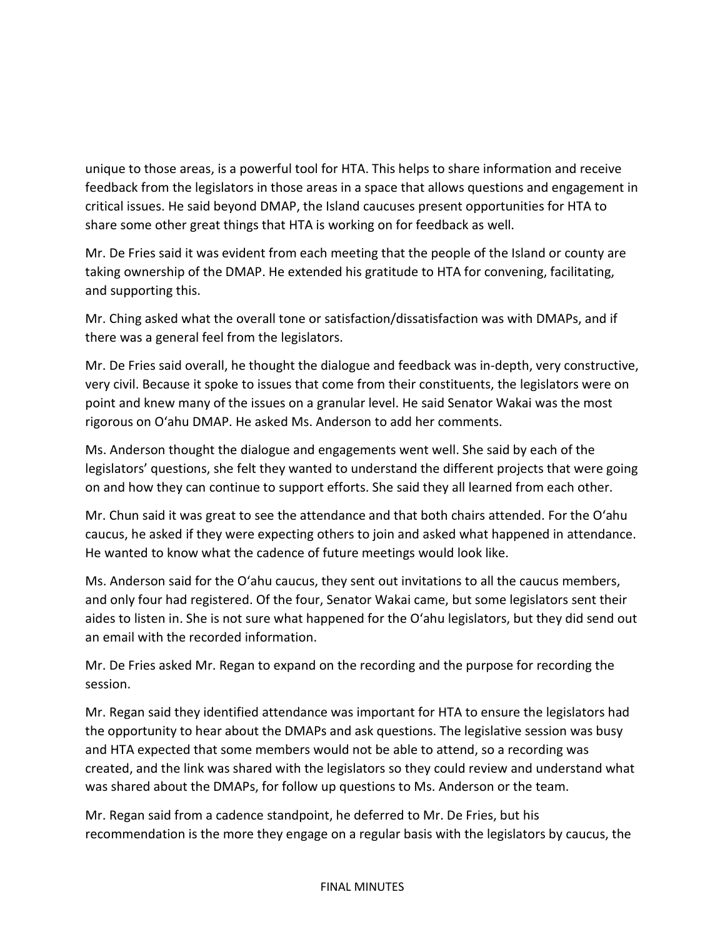unique to those areas, is a powerful tool for HTA. This helps to share information and receive feedback from the legislators in those areas in a space that allows questions and engagement in critical issues. He said beyond DMAP, the Island caucuses present opportunities for HTA to share some other great things that HTA is working on for feedback as well.

Mr. De Fries said it was evident from each meeting that the people of the Island or county are taking ownership of the DMAP. He extended his gratitude to HTA for convening, facilitating, and supporting this.

Mr. Ching asked what the overall tone or satisfaction/dissatisfaction was with DMAPs, and if there was a general feel from the legislators.

Mr. De Fries said overall, he thought the dialogue and feedback was in-depth, very constructive, very civil. Because it spoke to issues that come from their constituents, the legislators were on point and knew many of the issues on a granular level. He said Senator Wakai was the most rigorous on Oʻahu DMAP. He asked Ms. Anderson to add her comments.

Ms. Anderson thought the dialogue and engagements went well. She said by each of the legislators' questions, she felt they wanted to understand the different projects that were going on and how they can continue to support efforts. She said they all learned from each other.

Mr. Chun said it was great to see the attendance and that both chairs attended. For the Oʻahu caucus, he asked if they were expecting others to join and asked what happened in attendance. He wanted to know what the cadence of future meetings would look like.

Ms. Anderson said for the Oʻahu caucus, they sent out invitations to all the caucus members, and only four had registered. Of the four, Senator Wakai came, but some legislators sent their aides to listen in. She is not sure what happened for the Oʻahu legislators, but they did send out an email with the recorded information.

Mr. De Fries asked Mr. Regan to expand on the recording and the purpose for recording the session.

Mr. Regan said they identified attendance was important for HTA to ensure the legislators had the opportunity to hear about the DMAPs and ask questions. The legislative session was busy and HTA expected that some members would not be able to attend, so a recording was created, and the link was shared with the legislators so they could review and understand what was shared about the DMAPs, for follow up questions to Ms. Anderson or the team.

Mr. Regan said from a cadence standpoint, he deferred to Mr. De Fries, but his recommendation is the more they engage on a regular basis with the legislators by caucus, the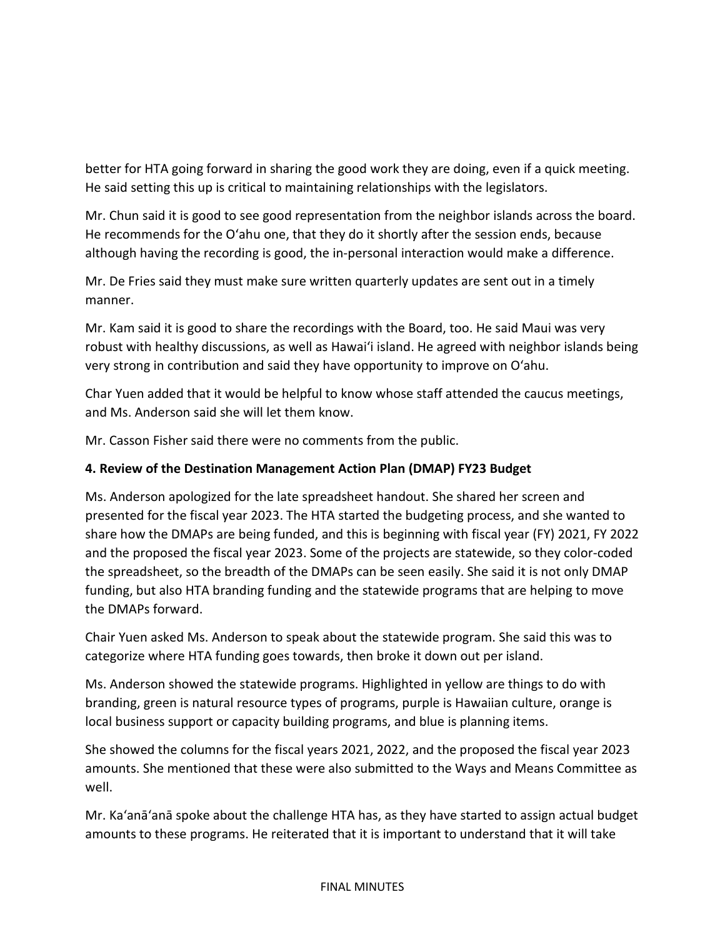better for HTA going forward in sharing the good work they are doing, even if a quick meeting. He said setting this up is critical to maintaining relationships with the legislators.

Mr. Chun said it is good to see good representation from the neighbor islands across the board. He recommends for the Oʻahu one, that they do it shortly after the session ends, because although having the recording is good, the in-personal interaction would make a difference.

Mr. De Fries said they must make sure written quarterly updates are sent out in a timely manner.

Mr. Kam said it is good to share the recordings with the Board, too. He said Maui was very robust with healthy discussions, as well as Hawai'i island. He agreed with neighbor islands being very strong in contribution and said they have opportunity to improve on Oʻahu.

Char Yuen added that it would be helpful to know whose staff attended the caucus meetings, and Ms. Anderson said she will let them know.

Mr. Casson Fisher said there were no comments from the public.

## **4. Review of the Destination Management Action Plan (DMAP) FY23 Budget**

Ms. Anderson apologized for the late spreadsheet handout. She shared her screen and presented for the fiscal year 2023. The HTA started the budgeting process, and she wanted to share how the DMAPs are being funded, and this is beginning with fiscal year (FY) 2021, FY 2022 and the proposed the fiscal year 2023. Some of the projects are statewide, so they color-coded the spreadsheet, so the breadth of the DMAPs can be seen easily. She said it is not only DMAP funding, but also HTA branding funding and the statewide programs that are helping to move the DMAPs forward.

Chair Yuen asked Ms. Anderson to speak about the statewide program. She said this was to categorize where HTA funding goes towards, then broke it down out per island.

Ms. Anderson showed the statewide programs. Highlighted in yellow are things to do with branding, green is natural resource types of programs, purple is Hawaiian culture, orange is local business support or capacity building programs, and blue is planning items.

She showed the columns for the fiscal years 2021, 2022, and the proposed the fiscal year 2023 amounts. She mentioned that these were also submitted to the Ways and Means Committee as well.

Mr. Ka'anā'anā spoke about the challenge HTA has, as they have started to assign actual budget amounts to these programs. He reiterated that it is important to understand that it will take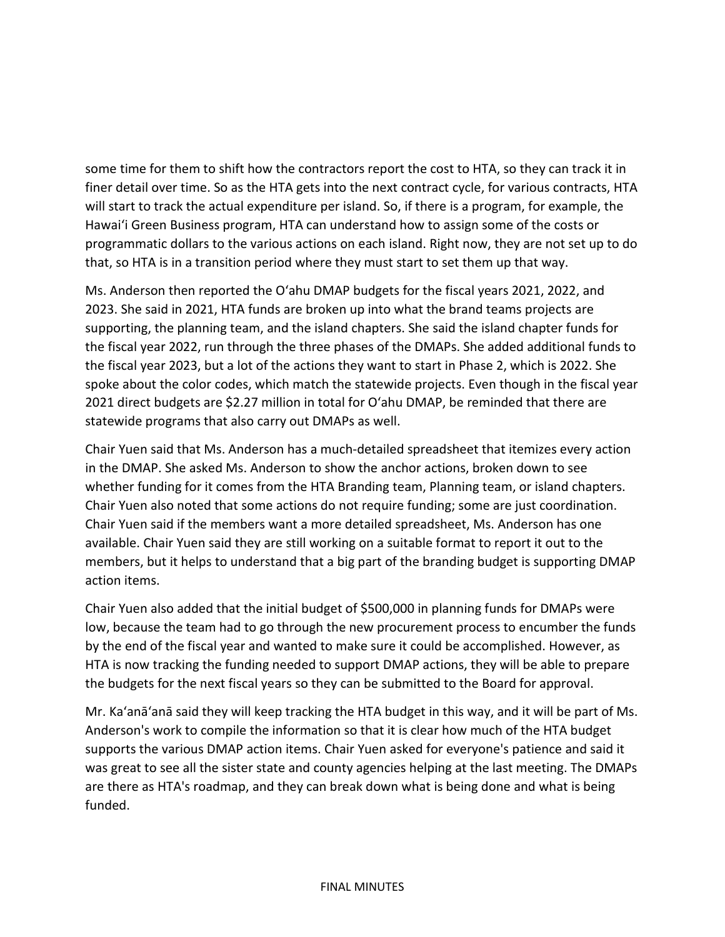some time for them to shift how the contractors report the cost to HTA, so they can track it in finer detail over time. So as the HTA gets into the next contract cycle, for various contracts, HTA will start to track the actual expenditure per island. So, if there is a program, for example, the Hawai'i Green Business program, HTA can understand how to assign some of the costs or programmatic dollars to the various actions on each island. Right now, they are not set up to do that, so HTA is in a transition period where they must start to set them up that way.

Ms. Anderson then reported the Oʻahu DMAP budgets for the fiscal years 2021, 2022, and 2023. She said in 2021, HTA funds are broken up into what the brand teams projects are supporting, the planning team, and the island chapters. She said the island chapter funds for the fiscal year 2022, run through the three phases of the DMAPs. She added additional funds to the fiscal year 2023, but a lot of the actions they want to start in Phase 2, which is 2022. She spoke about the color codes, which match the statewide projects. Even though in the fiscal year 2021 direct budgets are \$2.27 million in total for Oʻahu DMAP, be reminded that there are statewide programs that also carry out DMAPs as well.

Chair Yuen said that Ms. Anderson has a much-detailed spreadsheet that itemizes every action in the DMAP. She asked Ms. Anderson to show the anchor actions, broken down to see whether funding for it comes from the HTA Branding team, Planning team, or island chapters. Chair Yuen also noted that some actions do not require funding; some are just coordination. Chair Yuen said if the members want a more detailed spreadsheet, Ms. Anderson has one available. Chair Yuen said they are still working on a suitable format to report it out to the members, but it helps to understand that a big part of the branding budget is supporting DMAP action items.

Chair Yuen also added that the initial budget of \$500,000 in planning funds for DMAPs were low, because the team had to go through the new procurement process to encumber the funds by the end of the fiscal year and wanted to make sure it could be accomplished. However, as HTA is now tracking the funding needed to support DMAP actions, they will be able to prepare the budgets for the next fiscal years so they can be submitted to the Board for approval.

Mr. Ka'anā'anā said they will keep tracking the HTA budget in this way, and it will be part of Ms. Anderson's work to compile the information so that it is clear how much of the HTA budget supports the various DMAP action items. Chair Yuen asked for everyone's patience and said it was great to see all the sister state and county agencies helping at the last meeting. The DMAPs are there as HTA's roadmap, and they can break down what is being done and what is being funded.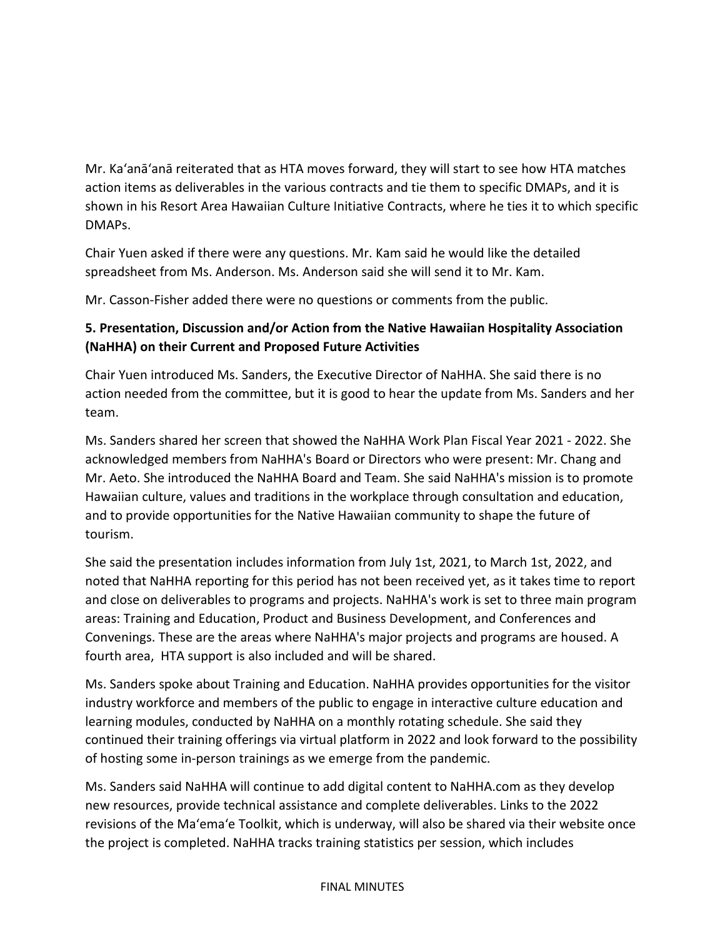Mr. Ka'anā'anā reiterated that as HTA moves forward, they will start to see how HTA matches action items as deliverables in the various contracts and tie them to specific DMAPs, and it is shown in his Resort Area Hawaiian Culture Initiative Contracts, where he ties it to which specific DMAPs.

Chair Yuen asked if there were any questions. Mr. Kam said he would like the detailed spreadsheet from Ms. Anderson. Ms. Anderson said she will send it to Mr. Kam.

Mr. Casson-Fisher added there were no questions or comments from the public.

# **5. Presentation, Discussion and/or Action from the Native Hawaiian Hospitality Association (NaHHA) on their Current and Proposed Future Activities**

Chair Yuen introduced Ms. Sanders, the Executive Director of NaHHA. She said there is no action needed from the committee, but it is good to hear the update from Ms. Sanders and her team.

Ms. Sanders shared her screen that showed the NaHHA Work Plan Fiscal Year 2021 - 2022. She acknowledged members from NaHHA's Board or Directors who were present: Mr. Chang and Mr. Aeto. She introduced the NaHHA Board and Team. She said NaHHA's mission is to promote Hawaiian culture, values and traditions in the workplace through consultation and education, and to provide opportunities for the Native Hawaiian community to shape the future of tourism.

She said the presentation includes information from July 1st, 2021, to March 1st, 2022, and noted that NaHHA reporting for this period has not been received yet, as it takes time to report and close on deliverables to programs and projects. NaHHA's work is set to three main program areas: Training and Education, Product and Business Development, and Conferences and Convenings. These are the areas where NaHHA's major projects and programs are housed. A fourth area, HTA support is also included and will be shared.

Ms. Sanders spoke about Training and Education. NaHHA provides opportunities for the visitor industry workforce and members of the public to engage in interactive culture education and learning modules, conducted by NaHHA on a monthly rotating schedule. She said they continued their training offerings via virtual platform in 2022 and look forward to the possibility of hosting some in-person trainings as we emerge from the pandemic.

Ms. Sanders said NaHHA will continue to add digital content to NaHHA.com as they develop new resources, provide technical assistance and complete deliverables. Links to the 2022 revisions of the Ma'ema'e Toolkit, which is underway, will also be shared via their website once the project is completed. NaHHA tracks training statistics per session, which includes

#### FINAL MINUTES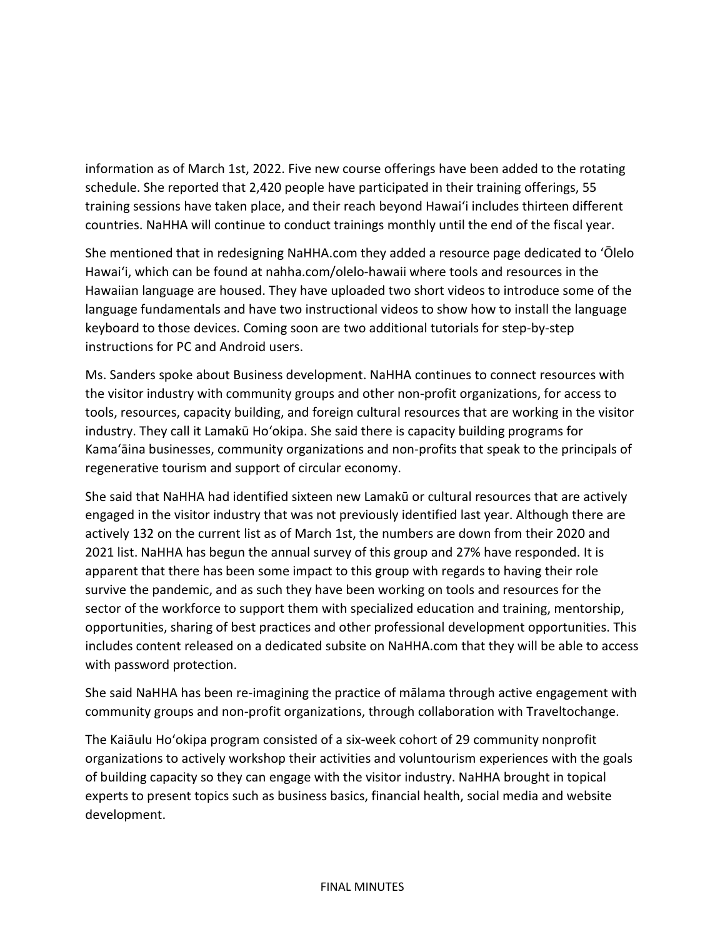information as of March 1st, 2022. Five new course offerings have been added to the rotating schedule. She reported that 2,420 people have participated in their training offerings, 55 training sessions have taken place, and their reach beyond Hawai'i includes thirteen different countries. NaHHA will continue to conduct trainings monthly until the end of the fiscal year.

She mentioned that in redesigning NaHHA.com they added a resource page dedicated to ʻŌlelo Hawai'i, which can be found at nahha.com/olelo-hawaii where tools and resources in the Hawaiian language are housed. They have uploaded two short videos to introduce some of the language fundamentals and have two instructional videos to show how to install the language keyboard to those devices. Coming soon are two additional tutorials for step-by-step instructions for PC and Android users.

Ms. Sanders spoke about Business development. NaHHA continues to connect resources with the visitor industry with community groups and other non-profit organizations, for access to tools, resources, capacity building, and foreign cultural resources that are working in the visitor industry. They call it Lamakū Hoʻokipa. She said there is capacity building programs for Kamaʻāina businesses, community organizations and non-profits that speak to the principals of regenerative tourism and support of circular economy.

She said that NaHHA had identified sixteen new Lamakū or cultural resources that are actively engaged in the visitor industry that was not previously identified last year. Although there are actively 132 on the current list as of March 1st, the numbers are down from their 2020 and 2021 list. NaHHA has begun the annual survey of this group and 27% have responded. It is apparent that there has been some impact to this group with regards to having their role survive the pandemic, and as such they have been working on tools and resources for the sector of the workforce to support them with specialized education and training, mentorship, opportunities, sharing of best practices and other professional development opportunities. This includes content released on a dedicated subsite on NaHHA.com that they will be able to access with password protection.

She said NaHHA has been re-imagining the practice of mālama through active engagement with community groups and non-profit organizations, through collaboration with Traveltochange.

The Kaiāulu Hoʻokipa program consisted of a six-week cohort of 29 community nonprofit organizations to actively workshop their activities and voluntourism experiences with the goals of building capacity so they can engage with the visitor industry. NaHHA brought in topical experts to present topics such as business basics, financial health, social media and website development.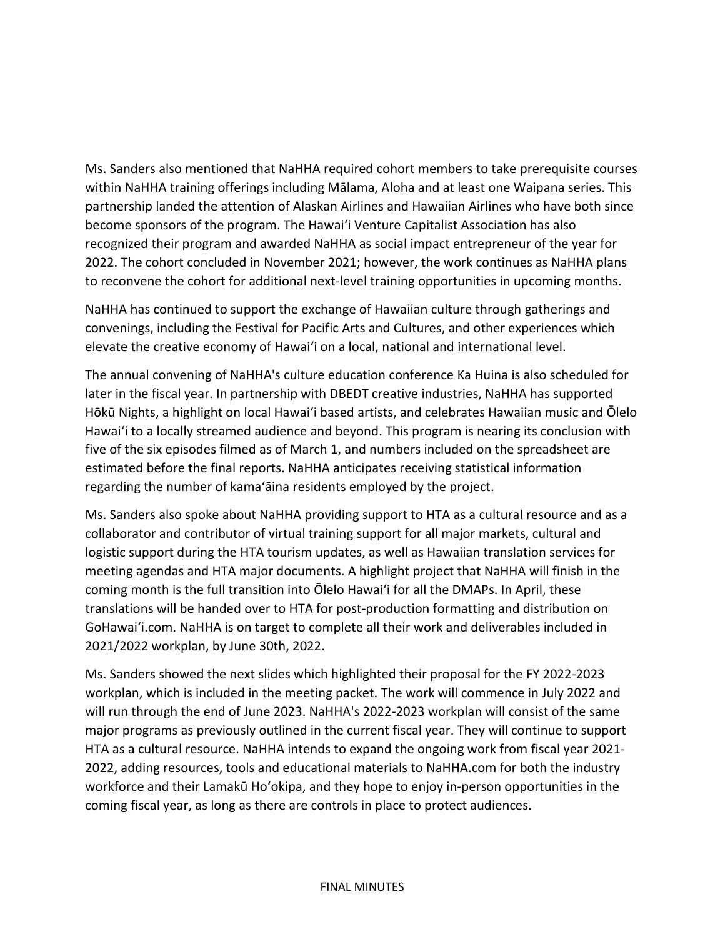Ms. Sanders also mentioned that NaHHA required cohort members to take prerequisite courses within NaHHA training offerings including Mālama, Aloha and at least one Waipana series. This partnership landed the attention of Alaskan Airlines and Hawaiian Airlines who have both since become sponsors of the program. The Hawai'i Venture Capitalist Association has also recognized their program and awarded NaHHA as social impact entrepreneur of the year for 2022. The cohort concluded in November 2021; however, the work continues as NaHHA plans to reconvene the cohort for additional next-level training opportunities in upcoming months.

NaHHA has continued to support the exchange of Hawaiian culture through gatherings and convenings, including the Festival for Pacific Arts and Cultures, and other experiences which elevate the creative economy of Hawai'i on a local, national and international level.

The annual convening of NaHHA's culture education conference Ka Huina is also scheduled for later in the fiscal year. In partnership with DBEDT creative industries, NaHHA has supported Hōkū Nights, a highlight on local Hawai'i based artists, and celebrates Hawaiian music and Ōlelo Hawai'i to a locally streamed audience and beyond. This program is nearing its conclusion with five of the six episodes filmed as of March 1, and numbers included on the spreadsheet are estimated before the final reports. NaHHA anticipates receiving statistical information regarding the number of kamaʻāina residents employed by the project.

Ms. Sanders also spoke about NaHHA providing support to HTA as a cultural resource and as a collaborator and contributor of virtual training support for all major markets, cultural and logistic support during the HTA tourism updates, as well as Hawaiian translation services for meeting agendas and HTA major documents. A highlight project that NaHHA will finish in the coming month is the full transition into Ōlelo Hawai'i for all the DMAPs. In April, these translations will be handed over to HTA for post-production formatting and distribution on GoHawai'i.com. NaHHA is on target to complete all their work and deliverables included in 2021/2022 workplan, by June 30th, 2022.

Ms. Sanders showed the next slides which highlighted their proposal for the FY 2022-2023 workplan, which is included in the meeting packet. The work will commence in July 2022 and will run through the end of June 2023. NaHHA's 2022-2023 workplan will consist of the same major programs as previously outlined in the current fiscal year. They will continue to support HTA as a cultural resource. NaHHA intends to expand the ongoing work from fiscal year 2021- 2022, adding resources, tools and educational materials to NaHHA.com for both the industry workforce and their Lamakū Hoʻokipa, and they hope to enjoy in-person opportunities in the coming fiscal year, as long as there are controls in place to protect audiences.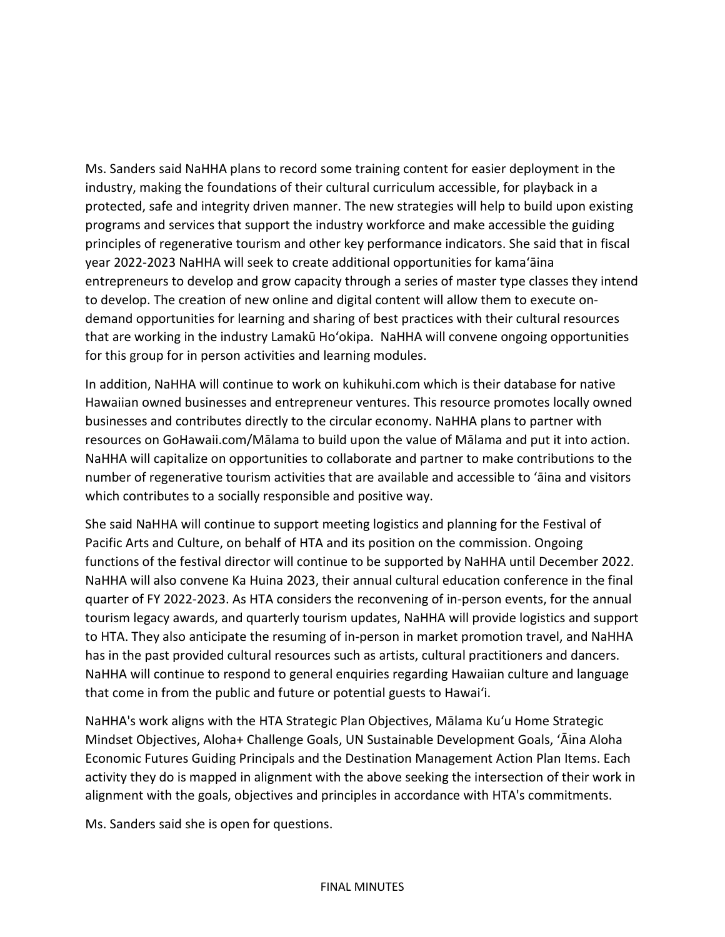Ms. Sanders said NaHHA plans to record some training content for easier deployment in the industry, making the foundations of their cultural curriculum accessible, for playback in a protected, safe and integrity driven manner. The new strategies will help to build upon existing programs and services that support the industry workforce and make accessible the guiding principles of regenerative tourism and other key performance indicators. She said that in fiscal year 2022-2023 NaHHA will seek to create additional opportunities for kamaʻāina entrepreneurs to develop and grow capacity through a series of master type classes they intend to develop. The creation of new online and digital content will allow them to execute ondemand opportunities for learning and sharing of best practices with their cultural resources that are working in the industry Lamakū Hoʻokipa. NaHHA will convene ongoing opportunities for this group for in person activities and learning modules.

In addition, NaHHA will continue to work on kuhikuhi.com which is their database for native Hawaiian owned businesses and entrepreneur ventures. This resource promotes locally owned businesses and contributes directly to the circular economy. NaHHA plans to partner with resources on GoHawaii.com/Mālama to build upon the value of Mālama and put it into action. NaHHA will capitalize on opportunities to collaborate and partner to make contributions to the number of regenerative tourism activities that are available and accessible to ʻāina and visitors which contributes to a socially responsible and positive way.

She said NaHHA will continue to support meeting logistics and planning for the Festival of Pacific Arts and Culture, on behalf of HTA and its position on the commission. Ongoing functions of the festival director will continue to be supported by NaHHA until December 2022. NaHHA will also convene Ka Huina 2023, their annual cultural education conference in the final quarter of FY 2022-2023. As HTA considers the reconvening of in-person events, for the annual tourism legacy awards, and quarterly tourism updates, NaHHA will provide logistics and support to HTA. They also anticipate the resuming of in-person in market promotion travel, and NaHHA has in the past provided cultural resources such as artists, cultural practitioners and dancers. NaHHA will continue to respond to general enquiries regarding Hawaiian culture and language that come in from the public and future or potential guests to Hawai'i.

NaHHA's work aligns with the HTA Strategic Plan Objectives, Mālama Kuʻu Home Strategic Mindset Objectives, Aloha+ Challenge Goals, UN Sustainable Development Goals, ʻĀina Aloha Economic Futures Guiding Principals and the Destination Management Action Plan Items. Each activity they do is mapped in alignment with the above seeking the intersection of their work in alignment with the goals, objectives and principles in accordance with HTA's commitments.

Ms. Sanders said she is open for questions.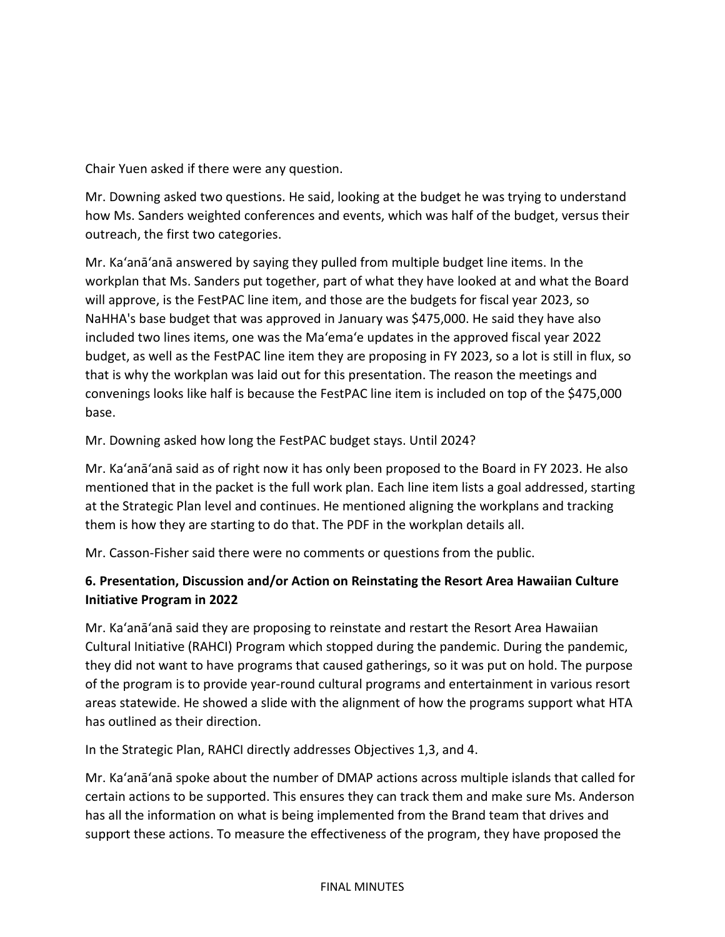Chair Yuen asked if there were any question.

Mr. Downing asked two questions. He said, looking at the budget he was trying to understand how Ms. Sanders weighted conferences and events, which was half of the budget, versus their outreach, the first two categories.

Mr. Ka'anā'anā answered by saying they pulled from multiple budget line items. In the workplan that Ms. Sanders put together, part of what they have looked at and what the Board will approve, is the FestPAC line item, and those are the budgets for fiscal year 2023, so NaHHA's base budget that was approved in January was \$475,000. He said they have also included two lines items, one was the Maʻemaʻe updates in the approved fiscal year 2022 budget, as well as the FestPAC line item they are proposing in FY 2023, so a lot is still in flux, so that is why the workplan was laid out for this presentation. The reason the meetings and convenings looks like half is because the FestPAC line item is included on top of the \$475,000 base.

## Mr. Downing asked how long the FestPAC budget stays. Until 2024?

Mr. Ka'anā'anā said as of right now it has only been proposed to the Board in FY 2023. He also mentioned that in the packet is the full work plan. Each line item lists a goal addressed, starting at the Strategic Plan level and continues. He mentioned aligning the workplans and tracking them is how they are starting to do that. The PDF in the workplan details all.

Mr. Casson-Fisher said there were no comments or questions from the public.

# **6. Presentation, Discussion and/or Action on Reinstating the Resort Area Hawaiian Culture Initiative Program in 2022**

Mr. Ka'anā'anā said they are proposing to reinstate and restart the Resort Area Hawaiian Cultural Initiative (RAHCI) Program which stopped during the pandemic. During the pandemic, they did not want to have programs that caused gatherings, so it was put on hold. The purpose of the program is to provide year-round cultural programs and entertainment in various resort areas statewide. He showed a slide with the alignment of how the programs support what HTA has outlined as their direction.

In the Strategic Plan, RAHCI directly addresses Objectives 1,3, and 4.

Mr. Ka'anā'anā spoke about the number of DMAP actions across multiple islands that called for certain actions to be supported. This ensures they can track them and make sure Ms. Anderson has all the information on what is being implemented from the Brand team that drives and support these actions. To measure the effectiveness of the program, they have proposed the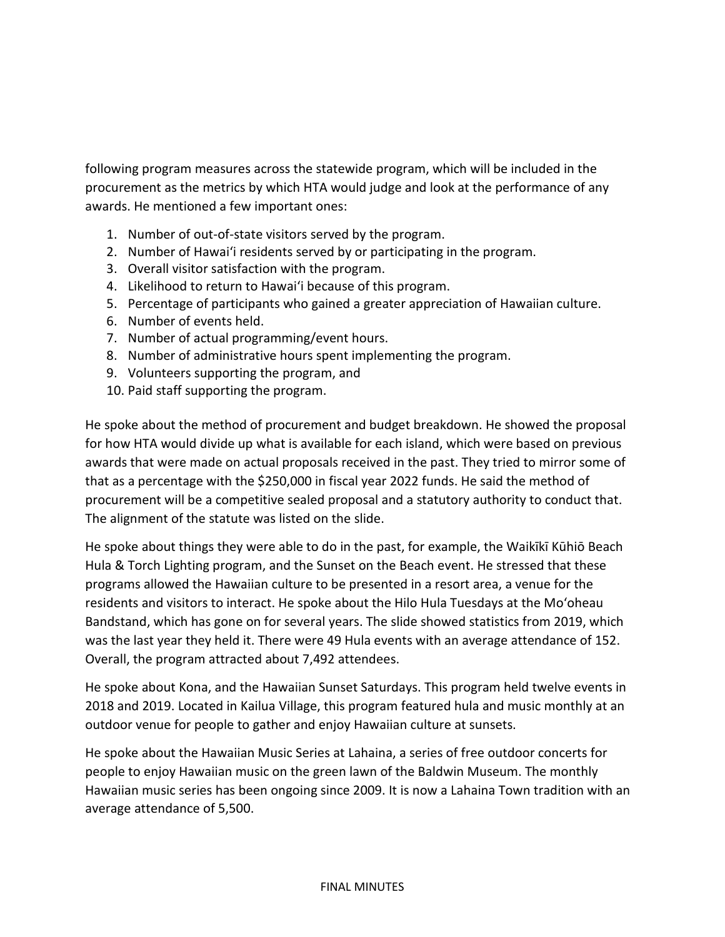following program measures across the statewide program, which will be included in the procurement as the metrics by which HTA would judge and look at the performance of any awards. He mentioned a few important ones:

- 1. Number of out-of-state visitors served by the program.
- 2. Number of Hawai'i residents served by or participating in the program.
- 3. Overall visitor satisfaction with the program.
- 4. Likelihood to return to Hawai'i because of this program.
- 5. Percentage of participants who gained a greater appreciation of Hawaiian culture.
- 6. Number of events held.
- 7. Number of actual programming/event hours.
- 8. Number of administrative hours spent implementing the program.
- 9. Volunteers supporting the program, and
- 10. Paid staff supporting the program.

He spoke about the method of procurement and budget breakdown. He showed the proposal for how HTA would divide up what is available for each island, which were based on previous awards that were made on actual proposals received in the past. They tried to mirror some of that as a percentage with the \$250,000 in fiscal year 2022 funds. He said the method of procurement will be a competitive sealed proposal and a statutory authority to conduct that. The alignment of the statute was listed on the slide.

He spoke about things they were able to do in the past, for example, the Waikīkī Kūhiō Beach Hula & Torch Lighting program, and the Sunset on the Beach event. He stressed that these programs allowed the Hawaiian culture to be presented in a resort area, a venue for the residents and visitors to interact. He spoke about the Hilo Hula Tuesdays at the Mo'oheau Bandstand, which has gone on for several years. The slide showed statistics from 2019, which was the last year they held it. There were 49 Hula events with an average attendance of 152. Overall, the program attracted about 7,492 attendees.

He spoke about Kona, and the Hawaiian Sunset Saturdays. This program held twelve events in 2018 and 2019. Located in Kailua Village, this program featured hula and music monthly at an outdoor venue for people to gather and enjoy Hawaiian culture at sunsets.

He spoke about the Hawaiian Music Series at Lahaina, a series of free outdoor concerts for people to enjoy Hawaiian music on the green lawn of the Baldwin Museum. The monthly Hawaiian music series has been ongoing since 2009. It is now a Lahaina Town tradition with an average attendance of 5,500.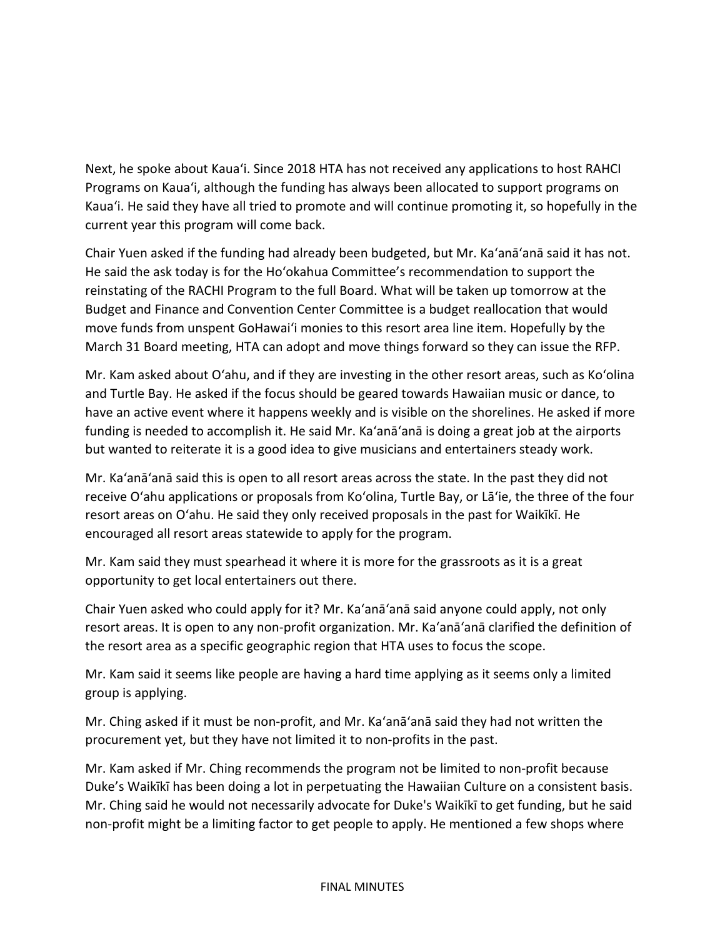Next, he spoke about Kauaʻi. Since 2018 HTA has not received any applications to host RAHCI Programs on Kauaʻi, although the funding has always been allocated to support programs on Kauaʻi. He said they have all tried to promote and will continue promoting it, so hopefully in the current year this program will come back.

Chair Yuen asked if the funding had already been budgeted, but Mr. Ka'anā'anā said it has not. He said the ask today is for the Ho'okahua Committee's recommendation to support the reinstating of the RACHI Program to the full Board. What will be taken up tomorrow at the Budget and Finance and Convention Center Committee is a budget reallocation that would move funds from unspent GoHawai'i monies to this resort area line item. Hopefully by the March 31 Board meeting, HTA can adopt and move things forward so they can issue the RFP.

Mr. Kam asked about Oʻahu, and if they are investing in the other resort areas, such as Ko'olina and Turtle Bay. He asked if the focus should be geared towards Hawaiian music or dance, to have an active event where it happens weekly and is visible on the shorelines. He asked if more funding is needed to accomplish it. He said Mr. Ka'anā'anā is doing a great job at the airports but wanted to reiterate it is a good idea to give musicians and entertainers steady work.

Mr. Ka'anā'anā said this is open to all resort areas across the state. In the past they did not receive Oʻahu applications or proposals from Ko'olina, Turtle Bay, or Lāʻie, the three of the four resort areas on O'ahu. He said they only received proposals in the past for Waikīkī. He encouraged all resort areas statewide to apply for the program.

Mr. Kam said they must spearhead it where it is more for the grassroots as it is a great opportunity to get local entertainers out there.

Chair Yuen asked who could apply for it? Mr. Ka'anā'anā said anyone could apply, not only resort areas. It is open to any non-profit organization. Mr. Ka'anā'anā clarified the definition of the resort area as a specific geographic region that HTA uses to focus the scope.

Mr. Kam said it seems like people are having a hard time applying as it seems only a limited group is applying.

Mr. Ching asked if it must be non-profit, and Mr. Ka'anā'anā said they had not written the procurement yet, but they have not limited it to non-profits in the past.

Mr. Kam asked if Mr. Ching recommends the program not be limited to non-profit because Duke's Waikīkī has been doing a lot in perpetuating the Hawaiian Culture on a consistent basis. Mr. Ching said he would not necessarily advocate for Duke's Waikīkī to get funding, but he said non-profit might be a limiting factor to get people to apply. He mentioned a few shops where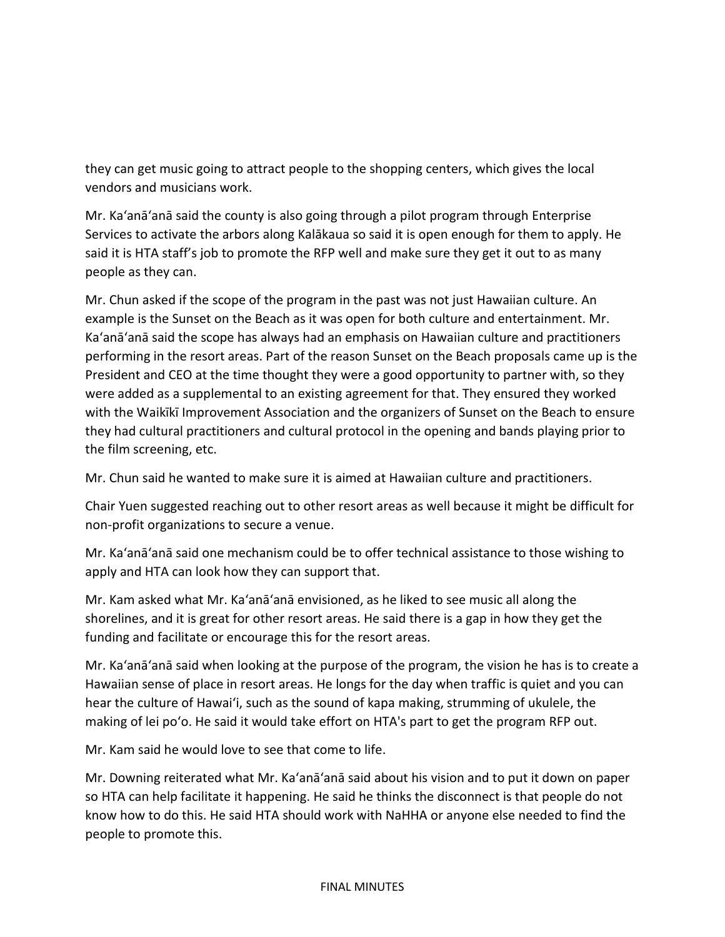they can get music going to attract people to the shopping centers, which gives the local vendors and musicians work.

Mr. Ka'anā'anā said the county is also going through a pilot program through Enterprise Services to activate the arbors along Kalākaua so said it is open enough for them to apply. He said it is HTA staff's job to promote the RFP well and make sure they get it out to as many people as they can.

Mr. Chun asked if the scope of the program in the past was not just Hawaiian culture. An example is the Sunset on the Beach as it was open for both culture and entertainment. Mr. Ka'anā'anā said the scope has always had an emphasis on Hawaiian culture and practitioners performing in the resort areas. Part of the reason Sunset on the Beach proposals came up is the President and CEO at the time thought they were a good opportunity to partner with, so they were added as a supplemental to an existing agreement for that. They ensured they worked with the Waikīkī Improvement Association and the organizers of Sunset on the Beach to ensure they had cultural practitioners and cultural protocol in the opening and bands playing prior to the film screening, etc.

Mr. Chun said he wanted to make sure it is aimed at Hawaiian culture and practitioners.

Chair Yuen suggested reaching out to other resort areas as well because it might be difficult for non-profit organizations to secure a venue.

Mr. Ka'anā'anā said one mechanism could be to offer technical assistance to those wishing to apply and HTA can look how they can support that.

Mr. Kam asked what Mr. Ka'anā'anā envisioned, as he liked to see music all along the shorelines, and it is great for other resort areas. He said there is a gap in how they get the funding and facilitate or encourage this for the resort areas.

Mr. Ka'anā'anā said when looking at the purpose of the program, the vision he has is to create a Hawaiian sense of place in resort areas. He longs for the day when traffic is quiet and you can hear the culture of Hawai'i, such as the sound of kapa making, strumming of ukulele, the making of lei po'o. He said it would take effort on HTA's part to get the program RFP out.

Mr. Kam said he would love to see that come to life.

Mr. Downing reiterated what Mr. Ka'anā'anā said about his vision and to put it down on paper so HTA can help facilitate it happening. He said he thinks the disconnect is that people do not know how to do this. He said HTA should work with NaHHA or anyone else needed to find the people to promote this.